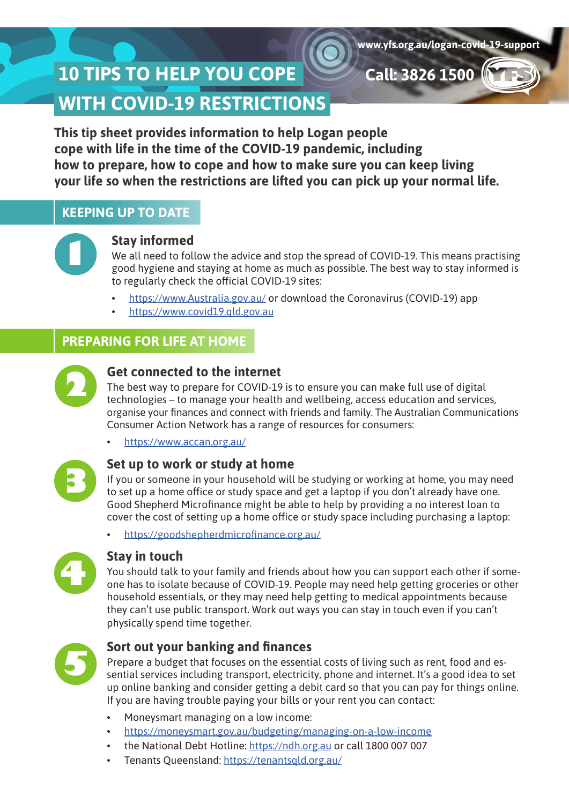**Call: 3826 1500**

# **10 TIPS TO HELP YOU COPE WITH COVID-19 RESTRICTIONS**

**This tip sheet provides information to help Logan people cope with life in the time of the COVID-19 pandemic, including how to prepare, how to cope and how to make sure you can keep living your life so when the restrictions are lifted you can pick up your normal life.**

# **KEEPING UP TO DATE**



# **Stay informed**

We all need to follow the advice and stop the spread of COVID-19. This means practising good hygiene and staying at home as much as possible. The best way to stay informed is to regularly check the official COVID-19 sites:

- <https://www.Australia.gov.au/> or download the Coronavirus (COVID-19) app
- <https://www.covid19.qld.gov.au>

# **PREPARING FOR LIFE AT HOME**



## **Get connected to the internet**

The best way to prepare for COVID-19 is to ensure you can make full use of digital technologies – to manage your health and wellbeing, access education and services, organise your finances and connect with friends and family. The Australian Communications Consumer Action Network has a range of resources for consumers:

• <https://www.accan.org.au/>



## **Set up to work or study at home**

If you or someone in your household will be studying or working at home, you may need to set up a home office or study space and get a laptop if you don't already have one. Good Shepherd Microfinance might be able to help by providing a no interest loan to cover the cost of setting up a home office or study space including purchasing a laptop:

• <https://goodshepherdmicrofinance.org.au/>



# **Stay in touch**

You should talk to your family and friends about how you can support each other if someone has to isolate because of COVID-19. People may need help getting groceries or other household essentials, or they may need help getting to medical appointments because they can't use public transport. Work out ways you can stay in touch even if you can't physically spend time together.



# **Sort out your banking and finances**

Prepare a budget that focuses on the essential costs of living such as rent, food and essential services including transport, electricity, phone and internet. It's a good idea to set up online banking and consider getting a debit card so that you can pay for things online. If you are having trouble paying your bills or your rent you can contact:

- Moneysmart managing on a low income:
- <https://moneysmart.gov.au/budgeting/managing-on-a-low-income>
- the National Debt Hotline: [https://ndh.org.au](https://ndh.org.au/) or call 1800 007 007
- Tenants Queensland: <https://tenantsqld.org.au/>